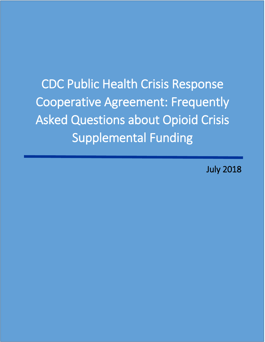CDC Public Health Crisis Response Cooperative Agreement: Frequently Asked Questions about Opioid Crisis Supplemental Funding

July 2018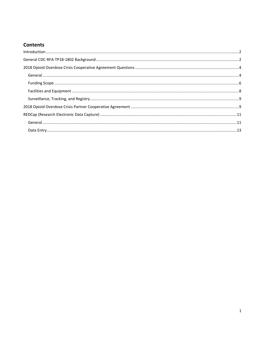# **Contents**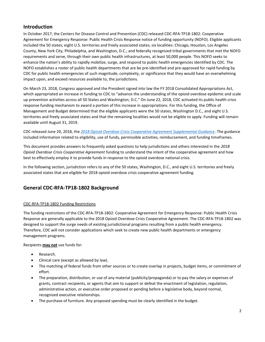# <span id="page-2-0"></span>**Introduction**

In October 2017, the Centers for Disease Control and Prevention (CDC) released CDC-RFA-TP18-1802: Cooperative Agreement for Emergency Response: Public Health Crisis Response notice of funding opportunity (NOFO). Eligible applicants included the 50 states; eight U.S. territories and freely associated states; six localities: Chicago, Houston, Los Angeles County, New York City, Philadelphia, and Washington, D.C.; and federally recognized tribal governments that met the NOFO requirements and serve, through their own public health infrastructures, at least 50,000 people. This NOFO seeks to enhance the nation's ability to rapidly mobilize, surge, and respond to public health emergencies identified by CDC. The NOFO establishes a roster of public health departments that are be pre-identified and pre-approved for rapid funding by CDC for public health emergencies of such magnitude, complexity, or significance that they would have an overwhelming impact upon, and exceed resources available to, the jurisdictions.

On March 23, 2018, Congress approved and the President signed into law the FY 2018 Consolidated Appropriations Act, which appropriated an increase in funding to CDC to "advance the understanding of the opioid overdose epidemic and scale up prevention activities across all 50 States and Washington, D.C." On June 22, 2018, CDC activated its public health crisis response funding mechanism to award a portion of this increase in appropriations. For this funding, the Office of Management and Budget determined that the eligible applicants were the 50 states, Washington D.C., and eight U.S. territories and freely associated states and that the remaining localities would not be eligible to apply. Funding will remain available until August 31, 2019.

CDC released June 20, 2018, the *[2018 Opioid Overdose Crisis Cooperative Agreement Supplemental Guidance](https://www.grants.gov/web/grants/view-opportunity.html?oppId=297939)*. The guidance included information related to eligibility, use of funds, permissible activities, reimbursement, and funding timeframes.

This document provides answers to frequently asked questions to help jurisdictions and others interested in the *2018 Opioid Overdose Crisis Cooperative Agreement* funding to understand the intent of the cooperative agreement and how best to effectively employ it to provide funds in response to the opioid overdose national crisis.

In the following section, jurisdiction refers to any of the 50 states, Washington, D.C., and eight U.S. territories and freely associated states that are eligible for 2018 opioid overdose crisis cooperative agreement funding.

# **General CDC-RFA-TP18-1802 Background**

# CDC-RFA-TP18-1802 Funding Restrictions

The funding restrictions of the CDC-RFA-TP18-1802: Cooperative Agreement for Emergency Response: Public Health Crisis Response are generally applicable to the 2018 Opioid Overdose Crisis Cooperative Agreement. The CDC-RFA-TP18-1802 was designed to support the surge needs of existing jurisdictional programs resulting from a public health emergency. Therefore, CDC will not consider applications which seek to create new public health departments or emergency management programs.

Recipients **may not** use funds for:

- Research.
- Clinical care (except as allowed by law).
- The matching of federal funds from other sources or to create overlap in projects, budget items, or commitment of effort.
- The preparation, distribution, or use of any material (publicity/propaganda) or to pay the salary or expenses of grants, contract recipients, or agents that aim to support or defeat the enactment of legislation, regulation, administrative action, or executive order proposed or pending before a legislative body, beyond normal, recognized executive relationships.
- The purchase of furniture. Any proposed spending must be clearly identified in the budget.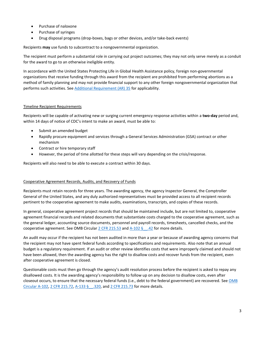- Purchase of naloxone
- Purchase of syringes
- Drug disposal programs (drop-boxes, bags or other devices, and/or take-back events)

Recipients **may** use funds to subcontract to a nongovernmental organization.

The recipient must perform a substantial role in carrying out project outcomes; they may not only serve merely as a conduit for the award to go to an otherwise ineligible entity.

In accordance with the United States Protecting Life in Global Health Assistance policy, foreign non-governmental organizations that receive funding through this award from the recipient are prohibited from performing abortions as a method of family planning and may not provide financial support to any other foreign nongovernmental organization that performs such activities. See [Additional Requirement \(AR\) 35](https://www.cdc.gov/grants/additionalrequirements/ar-35.html) for applicability.

### Timeline Recipient Requirements

Recipients will be capable of activating new or surging current emergency response activities within a **two-day** period and, within 14 days of notice of CDC's intent to make an award, must be able to:

- Submit an amended budget
- Rapidly procure equipment and services through a General Services Administration (GSA) contract or other mechanism
- Contract or hire temporary staff
- However, the period of time allotted for these steps will vary depending on the crisis/response.

Recipients will also need to be able to execute a contract within 30 days.

### Cooperative Agreement Records, Audits, and Recovery of Funds

Recipients must retain records for three years. The awarding agency, the agency Inspector General, the Comptroller General of the United States, and any duly authorized representatives must be provided access to all recipient records pertinent to the cooperative agreement to make audits, examinations, transcripts, and copies of these records.

In general, cooperative agreement project records that should be maintained include, but are not limited to, cooperative agreement financial records and related documents that substantiate costs charged to the cooperative agreement, such as the general ledger, accounting source documents, personnel and payroll records, timesheets, cancelled checks, and the cooperative agreement. See OMB Circular  $2$  CFR 215.53 and  $A-102 \tfrac{6}{5}$ . 42 for more details.

An audit may occur if the recipient has not been audited in more than a year or because of awarding agency concerns that the recipient may not have spent federal funds according to specifications and requirements. Also note that an annual budget is a regulatory requirement. If an audit or other review identifies costs that were improperly claimed and should not have been allowed, then the awarding agency has the right to disallow costs and recover funds from the recipient, even after cooperative agreement is closed.

Questionable costs must then go through the agency's audit resolution process before the recipient is asked to repay any disallowed costs. It is the awarding agency's responsibility to follow up on any decision to disallow costs, even after closeout occurs, to ensure that the necessary federal funds (i.e., debt to the federal government) are recovered. Se[e OMB](https://www.whitehouse.gov/sites/whitehouse.gov/files/omb/circulars/A102/a102.pdf)  [Circular A-102,](https://www.whitehouse.gov/sites/whitehouse.gov/files/omb/circulars/A102/a102.pdf) [2 CFR 215.72,](https://www.gpo.gov/fdsys/granule/CFR-2005-title2-vol1/CFR-2005-title2-vol1-sec215-72) [A-133 §\\_\\_.320,](https://georgewbush-whitehouse.archives.gov/omb/circulars/a133/a133.html) and [2 CFR 215.73](https://www.gpo.gov/fdsys/granule/CFR-2005.../CFR-2005-title2-vol1-sec215-73) for more details.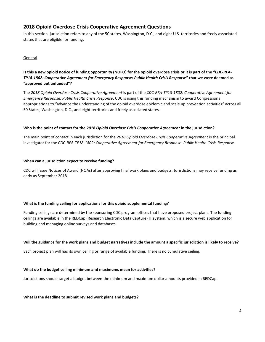# <span id="page-4-0"></span>**2018 Opioid Overdose Crisis Cooperative Agreement Questions**

In this section, jurisdiction refers to any of the 50 states, Washington, D.C., and eight U.S. territories and freely associated states that are eligible for funding.

# <span id="page-4-1"></span>General

**Is this a new opioid notice of funding opportunity (NOFO) for the opioid overdose crisis or it is part of the "***CDC-RFA-TP18-1802: Cooperative Agreement for Emergency Response: Public Health Crisis Response***" that we were deemed as "approved but unfunded"?**

The *2018 Opioid Overdose Crisis Cooperative Agreement* is part of the *CDC-RFA-TP18-1802: Cooperative Agreement for Emergency Response: Public Health Crisis Response*. CDC is using this funding mechanism to award Congressional appropriations to "advance the understanding of the opioid overdose epidemic and scale up prevention activities" across all 50 States, Washington, D.C., and eight territories and freely associated states.

# **Who is the point of contact for the** *2018 Opioid Overdose Crisis Cooperative Agreement* **in the jurisdiction?**

The main point of contact in each jurisdiction for the *2018 Opioid Overdose Crisis Cooperative Agreement* is the principal investigator for the *CDC-RFA-TP18-1802: Cooperative Agreement for Emergency Response: Public Health Crisis Response*.

### **When can a jurisdiction expect to receive funding?**

CDC will issue Notices of Award (NOAs) after approving final work plans and budgets. Jurisdictions may receive funding as early as September 2018.

# **What is the funding ceiling for applications for this opioid supplemental funding?**

Funding ceilings are determined by the sponsoring CDC program offices that have proposed project plans. The funding ceilings are available in the REDCap (Research Electronic Data Capture) IT system, which is a secure web application for building and managing online surveys and databases.

### **Will the guidance for the work plans and budget narratives include the amount a specific jurisdiction is likely to receive?**

Each project plan will has its own ceiling or range of available funding. There is no cumulative ceiling.

# **What do the budget ceiling minimum and maximums mean for activities?**

Jurisdictions should target a budget between the minimum and maximum dollar amounts provided in REDCap.

### **What is the deadline to submit revised work plans and budgets?**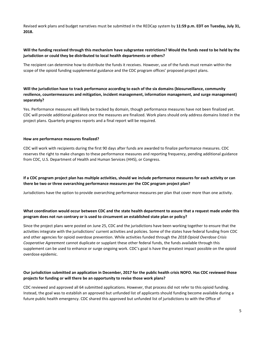Revised work plans and budget narratives must be submitted in the REDCap system by **11:59 p.m. EDT on Tuesday, July 31, 2018.**

# **Will the funding received through this mechanism have subgrantee restrictions? Would the funds need to be held by the jurisdiction or could they be distributed to local health departments or others?**

The recipient can determine how to distribute the funds it receives. However, use of the funds must remain within the scope of the opioid funding supplemental guidance and the CDC program offices' proposed project plans.

# **Will the jurisdiction have to track performance according to each of the six domains (biosurveillance, community resilience, countermeasures and mitigation, incident management, information management, and surge management) separately?**

Yes. Performance measures will likely be tracked by domain, though performance measures have not been finalized yet. CDC will provide additional guidance once the measures are finalized. Work plans should only address domains listed in the project plans. Quarterly progress reports and a final report will be required.

### **How are performance measures finalized?**

CDC will work with recipients during the first 90 days after funds are awarded to finalize performance measures. CDC reserves the right to make changes to these performance measures and reporting frequency, pending additional guidance from CDC, U.S. Department of Health and Human Services (HHS), or Congress.

# **If a CDC program project plan has multiple activities, should we include performance measures for each activity or can there be two or three overarching performance measures per the CDC program project plan?**

Jurisdictions have the option to provide overarching performance measures per plan that cover more than one activity.

# **What coordination would occur between CDC and the state health department to assure that a request made under this program does not run contrary or is used to circumvent an established state plan or policy?**

Since the project plans were posted on June 25, CDC and the jurisdictions have been working together to ensure that the activities integrate with the jurisdictions' current activities and policies. Some of the states have federal funding from CDC and other agencies for opioid overdose prevention. While activities funded through the *2018 Opioid Overdose Crisis Cooperative Agreement* cannot duplicate or supplant these other federal funds, the funds available through this supplement can be used to enhance or surge ongoing work. CDC's goal is have the greatest impact possible on the opioid overdose epidemic.

# **Our jurisdiction submitted an application in December, 2017 for the public health crisis NOFO. Has CDC reviewed those projects for funding or will there be an opportunity to revise those work plans?**

CDC reviewed and approved all 64 submitted applications. However, that process did not refer to this opioid funding. Instead, the goal was to establish an approved but unfunded list of applicants should funding become available during a future public health emergency. CDC shared this approved but unfunded list of jurisdictions to with the Office of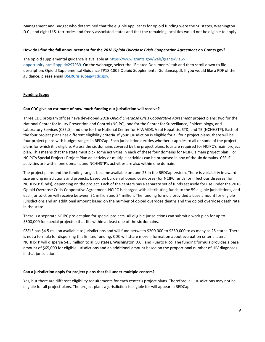Management and Budget who determined that the eligible applicants for opioid funding were the 50 states, Washington D.C., and eight U.S. territories and freely associated states and that the remaining localities would not be eligible to apply.

### **How do I find the full announcement for the** *2018 Opioid Overdose Crisis Cooperative Agreement* **on Grants.gov?**

The opioid supplemental guidance is available at [https://www.grants.gov/web/grants/view](http://links.govdelivery.com/track?type=click&enid=ZWFzPTEmbWFpbGluZ2lkPTIwMTgwNjIyLjkxNTY1OTMxJm1lc3NhZ2VpZD1NREItUFJELUJVTC0yMDE4MDYyMi45MTU2NTkzMSZkYXRhYmFzZWlkPTEwMDEmc2VyaWFsPTE3MTkyNzQ3JmVtYWlsaWQ9ZnZpOEBjZGMuZ292JnVzZXJpZD1mdmk4QGNkYy5nb3YmZmw9JmV4dHJhPU11bHRpdmFyaWF0ZUlkPSYmJg==&&&102&&&https://www.grants.gov/web/grants/view-opportunity.html?oppId=297939)[opportunity.html?oppId=297939.](http://links.govdelivery.com/track?type=click&enid=ZWFzPTEmbWFpbGluZ2lkPTIwMTgwNjIyLjkxNTY1OTMxJm1lc3NhZ2VpZD1NREItUFJELUJVTC0yMDE4MDYyMi45MTU2NTkzMSZkYXRhYmFzZWlkPTEwMDEmc2VyaWFsPTE3MTkyNzQ3JmVtYWlsaWQ9ZnZpOEBjZGMuZ292JnVzZXJpZD1mdmk4QGNkYy5nb3YmZmw9JmV4dHJhPU11bHRpdmFyaWF0ZUlkPSYmJg==&&&102&&&https://www.grants.gov/web/grants/view-opportunity.html?oppId=297939) On the webpage, select the "Related Documents" tab and then scroll down to file description: Opioid Supplemental Guidance TP18-1802 Opioid Supplemental Guidance.pdf. If you would like a PDF of the guidance, please email **DSLRCrisisCoag@cdc.gov**.

# <span id="page-6-0"></span>**Funding Scope**

### **Can CDC give an estimate of how much funding our jurisdiction will receive?**

Three CDC program offices have developed *2018 Opioid Overdose Crisis Cooperative Agreement* project plans: two for the National Center for Injury Prevention and Control (NCIPC), one for the Center for Surveillance, Epidemiology, and Laboratory Services (CSELS), and one for the National Center for HIV/AIDS, Viral Hepatitis, STD, and TB (NCHHSTP). Each of the four project plans has different eligibility criteria. If your jurisdiction is eligible for all four project plans, there will be four project plans with budget ranges in REDCap. Each jurisdiction decides whether it applies to all or some of the project plans for which it is eligible. Across the six domains covered by the project plans, four are required for NCIPC's main project plan. This means that the state must pick some activities in each of these four domains for NCIPC's main project plan. For NCIPC's Special Projects Project Plan an activity or multiple activities can be proposed in any of the six domains. CSELS' activities are within one domain, and NCHHSTP's activities are also within one domain.

The project plans and the funding ranges became available on June 25 in the REDCap system. There is variability in award size among jurisdictions and projects, based on burden of opioid overdoses (for NCIPC funds) or infectious diseases (for NCHHSTP funds), depending on the project. Each of the centers has a separate set of funds set aside for use under the 2018 Opioid Overdose Crisis Cooperative Agreement. NCIPC is charged with distributing funds to the 59 eligible jurisdictions, and each jurisdiction will receive between \$1 million and \$4 million. The funding formula provided a base amount for eligible jurisdictions and an additional amount based on the number of opioid overdose deaths and the opioid overdose death rate in the state.

There is a separate NCIPC project plan for special projects. All eligible jurisdictions can submit a work plan for up to \$500,000 for special project(s) that fits within at least one of the six domains.

CSELS has \$4.5 million available to jurisdictions and will fund between \$200,000 to \$250,000 to as many as 25 states. There is not a formula for dispersing this limited funding. CDC will share more information about evaluation criteria later. NCHHSTP will disperse \$4.5 million to all 50 states, Washington D.C., and Puerto Rico. The funding formula provides a base amount of \$65,000 for eligible jurisdictions and an additional amount based on the proportional number of HIV diagnoses in that jurisdiction.

### **Can a jurisdiction apply for project plans that fall under multiple centers?**

Yes, but there are different eligibility requirements for each center's project plans. Therefore, all jurisdictions may not be eligible for all project plans. The project plans a jurisdiction is eligible for will appear in REDCap.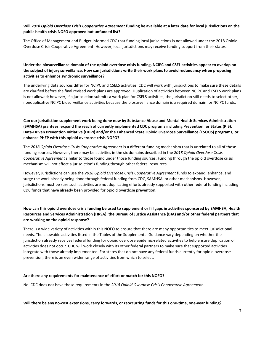# **Will** *2018 Opioid Overdose Crisis Cooperative Agreement* **funding be available at a later date for local jurisdictions on the public health crisis NOFO approved but unfunded list?**

The Office of Management and Budget informed CDC that funding local jurisdictions is not allowed under the 2018 Opioid Overdose Crisis Cooperative Agreement. However, local jurisdictions may receive funding support from their states.

# **Under the biosurveillance domain of the opioid overdose crisis funding, NCIPC and CSEL activities appear to overlap on the subject of injury surveillance. How can jurisdictions write their work plans to avoid redundancy when proposing activities to enhance syndromic surveillance?**

The underlying data sources differ for NCIPC and CSELS activities. CDC will work with jurisdictions to make sure these details are clarified before the final revised work plans are approved. Duplication of activities between NCIPC and CSELS work plans is not allowed; however, if a jurisdiction submits a work plan for CSELS activities, the jurisdiction still needs to select other, nonduplicative NCIPC biosurveillance activities because the biosurveillance domain is a required domain for NCIPC funds.

# **Can our jurisdiction supplement work being done now by Substance Abuse and Mental Health Services Administration (SAMHSA) grantees, expand the reach of currently implemented CDC programs including Prevention for States (PfS), Data-Driven Prevention Initiative (DDPI) and/or the Enhanced State Opioid Overdose Surveillance (ESOOS) programs, or enhance PHEP with this opioid overdose crisis NOFO?**

The *2018 Opioid Overdose Crisis Cooperative Agreement* is a different funding mechanism that is unrelated to all of those funding sources. However, there may be activities in the six domains described in the *2018 Opioid Overdose Crisis Cooperative Agreement* similar to those found under those funding sources. Funding through the opioid overdose crisis mechanism will not affect a jurisdiction's funding through other federal resources.

However, jurisdictions can use the *2018 Opioid Overdose Crisis Cooperative Agreement* funds to expand, enhance, and surge the work already being done through federal funding from CDC, SAMHSA, or other mechanisms. However, jurisdictions must be sure such activities are not duplicating efforts already supported with other federal funding including CDC funds that have already been provided for opioid overdose prevention.

# **How can this opioid overdose crisis funding be used to supplement or fill gaps in activities sponsored by SAMHSA, Health Resources and Services Administration (HRSA), the Bureau of Justice Assistance (BJA) and/or other federal partners that are working on the opioid response?**

There is a wide variety of activities within this NOFO to ensure that there are many opportunities to meet jurisdictional needs. The allowable activities listed in the Tables of the Supplemental Guidance vary depending on whether the jurisdiction already receives federal funding for opioid overdose epidemic-related activities to help ensure duplication of activities does not occur. CDC will work closely with its other federal partners to make sure that supported activities integrate with those already implemented. For states that do not have any federal funds currently for opioid overdose prevention, there is an even wider range of activities from which to select.

# **Are there any requirements for maintenance of effort or match for this NOFO?**

No. CDC does not have those requirements in the *2018 Opioid Overdose Crisis Cooperative Agreement*.

# **Will there be any no-cost extensions, carry forwards, or reoccurring funds for this one-time, one-year funding?**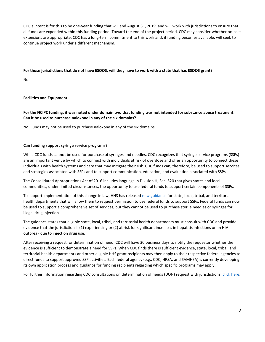CDC's intent is for this to be one-year funding that will end August 31, 2019, and will work with jurisdictions to ensure that all funds are expended within this funding period. Toward the end of the project period, CDC may consider whether no-cost extensions are appropriate. CDC has a long-term commitment to this work and, if funding becomes available, will seek to continue project work under a different mechanism.

# **For those jurisdictions that do not have ESOOS, will they have to work with a state that has ESOOS grant?**

No.

# <span id="page-8-0"></span>**Facilities and Equipment**

**For the NCIPC funding, it was noted under domain two that funding was not intended for substance abuse treatment. Can it be used to purchase naloxone in any of the six domains?** 

No. Funds may not be used to purchase naloxone in any of the six domains.

# **Can funding support syringe service programs?**

While CDC funds cannot be used for purchase of syringes and needles, CDC recognizes that syringe service programs (SSPs) are an important venue by which to connect with individuals at risk of overdose and offer an opportunity to connect these individuals with health systems and care that may mitigate their risk. CDC funds can, therefore, be used to support services and strategies associated with SSPs and to support communication, education, and evaluation associated with SSPs.

[The Consolidated Appropriations Act of 2016](https://www.congress.gov/114/bills/hr2029/BILLS-114hr2029enr.pdf) includes language in Division H, Sec. 520 that gives states and local communities, under limited circumstances, the opportunity to use federal funds to support certain components of SSPs.

To support implementation of this change in law, HHS has released new guidance for state, local, tribal, and territorial health departments that will allow them to request permission to use federal funds to support SSPs. Federal funds can now be used to support a comprehensive set of services, but they cannot be used to purchase sterile needles or syringes for illegal drug injection.

The guidance states that eligible state, local, tribal, and territorial health departments must consult with CDC and provide evidence that the jurisdiction is (1) experiencing or (2) at risk for significant increases in hepatitis infections or an HIV outbreak due to injection drug use.

After receiving a request for determination of need, CDC will have 30 business days to notify the requestor whether the evidence is sufficient to demonstrate a need for SSPs. When CDC finds there is sufficient evidence, state, local, tribal, and territorial health departments and other eligible HHS grant recipients may then apply to their respective federal agencies to direct funds to support approved SSP activities. Each federal agency (e.g., CDC, HRSA, and SAMHSA) is currently developing its own application process and guidance for funding recipients regarding which specific programs may apply.

For further information regarding CDC consultations on determination of needs (DON) request with jurisdictions[, click here.](https://www.cdc.gov/hiv/risk/ssps-jurisdictions.html)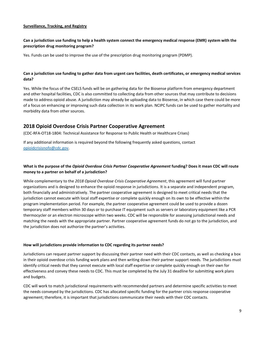# <span id="page-9-0"></span>**Surveillance, Tracking, and Registry**

# **Can a jurisdiction use funding to help a health system connect the emergency medical response (EMR) system with the prescription drug monitoring program?**

Yes. Funds can be used to improve the use of the prescription drug monitoring program (PDMP).

# **Can a jurisdiction use funding to gather data from urgent care facilities, death certificates, or emergency medical services data?**

Yes. While the focus of the CSELS funds will be on gathering data for the Biosense platform from emergency department and other hospital facilities, CDC is also committed to collecting data from other sources that may contribute to decisions made to address opioid abuse. A jurisdiction may already be uploading data to Biosense, in which case there could be more of a focus on enhancing or improving such data collection in its work plan. NCIPC funds can be used to gather mortality and morbidity data from other sources.

# <span id="page-9-1"></span>**2018 Opioid Overdose Crisis Partner Cooperative Agreement**

(CDC-RFA-OT18-1804: Technical Assistance for Response to Public Health or Healthcare Crises)

If any additional information is required beyond the following frequently asked questions, contact [opioidcrisisnofo@cdc.gov.](mailto:opioidcrisisnofo@cdc.gov) 

# **What is the purpose of the** *Opioid Overdose Crisis Partner Cooperative Agreement* **funding? Does it mean CDC will route money to a partner on behalf of a jurisdiction?**

While complementary to the *2018 Opioid Overdose Crisis Cooperative Agreement*, this agreement will fund partner organizations and is designed to enhance the opioid response in jurisdictions. It is a separate and independent program, both financially and administratively. The partner cooperative agreement is designed to meet critical needs that the jurisdiction cannot execute with local staff expertise or complete quickly enough on its own to be effective within the program implementation period. For example, the partner cooperative agreement could be used to provide a dozen temporary staff members within 30 days or to purchase IT equipment such as servers or laboratory equipment like a PCR thermocycler or an electron microscope within two weeks. CDC will be responsible for assessing jurisdictional needs and matching the needs with the appropriate partner. Partner cooperative agreement funds do not go to the jurisdiction, and the jurisdiction does not authorize the partner's activities.

# **How will jurisdictions provide information to CDC regarding its partner needs?**

Jurisdictions can request partner support by discussing their partner need with their CDC contacts, as well as checking a box in their opioid overdose crisis funding work plans and then writing down their partner support needs. The jurisdictions must identify critical needs that they cannot execute with local staff expertise or complete quickly enough on their own for effectiveness and convey these needs to CDC. This must be completed by the July 31 deadline for submitting work plans and budgets.

CDC will work to match jurisdictional requirements with recommended partners and determine specific activities to meet the needs conveyed by the jurisdictions. CDC has allocated specific funding for the partner crisis response cooperative agreement; therefore, it is important that jurisdictions communicate their needs with their CDC contacts.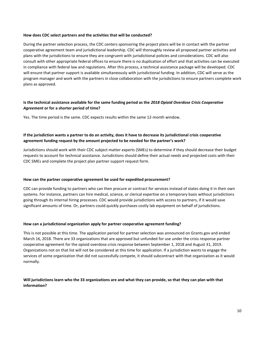### **How does CDC select partners and the activities that will be conducted?**

During the partner selection process, the CDC centers sponsoring the project plans will be in contact with the partner cooperative agreement team and jurisdictional leadership. CDC will thoroughly review all proposed partner activities and plans with the jurisdictions to ensure they are congruent with jurisdictional policies and considerations. CDC will also consult with other appropriate federal offices to ensure there is no duplication of effort and that activities can be executed in compliance with federal law and regulations. After this process, a technical assistance package will be developed. CDC will ensure that partner support is available simultaneously with jurisdictional funding. In addition, CDC will serve as the program manager and work with the partners in close collaboration with the jurisdictions to ensure partners complete work plans as approved.

# **Is the technical assistance available for the same funding period as the** *2018 Opioid Overdose Crisis Cooperative Agreement* **or for a shorter period of time?**

Yes. The time period is the same. CDC expects results within the same 12-month window.

# **If the jurisdiction wants a partner to do an activity, does it have to decrease its jurisdictional crisis cooperative agreement funding request by the amount projected to be needed for the partner's work?**

Jurisdictions should work with their CDC subject matter experts (SMEs) to determine if they should decrease their budget requests to account for technical assistance. Jurisdictions should define their actual needs and projected costs with their CDC SMEs and complete the project plan partner support request form.

# **How can the partner cooperative agreement be used for expedited procurement?**

CDC can provide funding to partners who can then procure or contract for services instead of states doing it in their own systems. For instance, partners can hire medical, science, or clerical expertise on a temporary basis without jurisdictions going through its internal hiring processes. CDC would provide jurisdictions with access to partners, if it would save significant amounts of time. Or, partners could quickly purchases costly lab equipment on behalf of jurisdictions.

### **How can a jurisdictional organization apply for partner cooperative agreement funding?**

This is not possible at this time. The application period for partner selection was announced on Grants.gov and ended March 16, 2018. There are 33 organizations that are approved but unfunded for use under the crisis response partner cooperative agreement for the opioid overdose crisis response between September 1, 2018 and August 31, 2019. Organizations not on that list will not be considered at this time for application. If a jurisdiction wants to engage the services of some organization that did not successfully compete, it should subcontract with that organization as it would normally.

# **Will jurisdictions learn who the 33 organizations are and what they can provide, so that they can plan with that information?**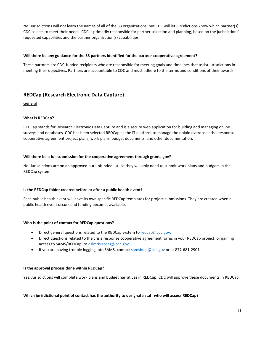No. Jurisdictions will not learn the names of all of the 33 organizations, but CDC will let jurisdictions know which partner(s) CDC selects to meet their needs. CDC is primarily responsible for partner selection and planning, based on the jurisdictions' requested capabilities and the partner organization(s) capabilities.

# **Will there be any guidance for the 33 partners identified for the partner cooperative agreement?**

These partners are CDC-funded recipients who are responsible for meeting goals and timelines that assist jurisdictions in meeting their objectives. Partners are accountable to CDC and must adhere to the terms and conditions of their awards.

# <span id="page-11-0"></span>**REDCap (Research Electronic Data Capture)**

<span id="page-11-1"></span>General

# **What is REDCap?**

REDCap stands for Research Electronic Data Capture and is a secure web application for building and managing online surveys and databases. CDC has been selected REDCap as the IT platform to manage the opioid overdose crisis response cooperative agreement project plans, work plans, budget documents, and other documentation.

### **Will there be a full submission for the cooperative agreement through grants.gov?**

No. Jurisdictions are on an approved but unfunded list, so they will only need to submit work plans and budgets in the REDCap system.

### **Is the REDCap folder created before or after a public health event?**

Each public health event will have its own specific REDCap templates for project submissions. They are created when a public health event occurs and funding becomes available.

### **Who is the point of contact for REDCap questions?**

- Direct general questions related to the REDCap system to [redcap@cdc.gov.](mailto:redcap@cdc.gov)
- Direct questions related to the crisis response cooperative agreement forms in your REDCap project, or gaining access to SAMS/REDCap, to [dslrcrisiscoag@cdc.gov.](mailto:dslrcrisiscoag@cdc.gov)
- If you are having trouble logging into SAMS, contact [samshelp@cdc.gov](mailto:samshelp@cdc.gov) or at 877-681-2901.

### **Is the approval process done within REDCap?**

Yes. Jurisdictions will complete work plans and budget narratives in REDCap. CDC will approve these documents in REDCap.

### **Which jurisdictional point of contact has the authority to designate staff who will access REDCap?**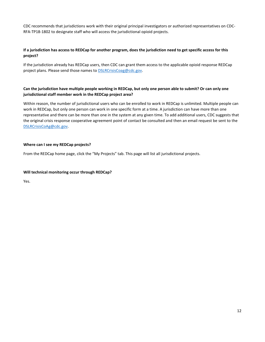CDC recommends that jurisdictions work with their original principal investigators or authorized representatives on CDC-RFA-TP18-1802 to designate staff who will access the jurisdictional opioid projects.

# **If a jurisdiction has access to REDCap for another program, does the jurisdiction need to get specific access for this project?**

If the jurisdiction already has REDCap users, then CDC can grant them access to the applicable opioid response REDCap project plans. Please send those names to **DSLRCrisisCoag@cdc.gov**.

# **Can the jurisdiction have multiple people working in REDCap, but only one person able to submit? Or can only one jurisdictional staff member work in the REDCap project area?**

Within reason, the number of jurisdictional users who can be enrolled to work in REDCap is unlimited. Multiple people can work in REDCap, but only one person can work in one specific form at a time. A jurisdiction can have more than one representative and there can be more than one in the system at any given time. To add additional users, CDC suggests that the original crisis response cooperative agreement point of contact be consulted and then an email request be sent to the [DSLRCrisisCoAg@cdc.gov.](mailto:DSLRCrisisCoAg@cdc.gov)

### **Where can I see my REDCap projects?**

From the REDCap home page, click the "My Projects" tab. This page will list all jurisdictional projects.

### **Will technical monitoring occur through REDCap?**

Yes.